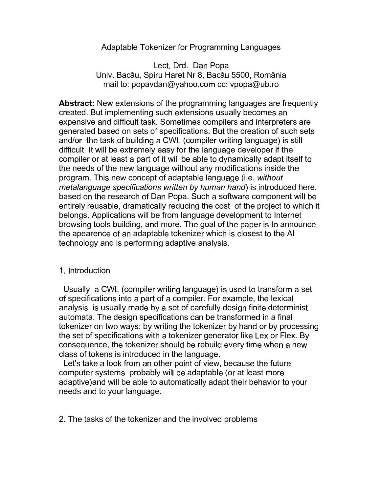## Adaptable Tokenizer for Programming Languages

Lect. Drd. Dan Popa Univ. Bacău, Spiru Haret Nr 8, Bacău 5500, România mail to: popavdan@yahoo.com cc: vpopa@ub.ro

**Abstract:** New extensions of the programming languages are frequently created. But implementing such extensions usually becomes an expensive and difficult task. Sometimes compilers and interpreters are generated based on sets of specifications. But the creation of such sets and/or the task of building a CWL (compiler writing language) is still difficult. It will be extremely easy for the language developer if the compiler or at least a part of it will be able to dynamically adapt itself to the needs of the new language without any modifications inside the program. This new concept of adaptable language (i.e. without metalanguage specifications written by human hand) is introduced here, based on the research of Dan Popa. Such a software component will be entirely reusable, dramatically reducing the cost of the project to which it belongs. Applications will be from language development to Internet browsing tools building, and more. The goal of the paper is to announce the apearence of an adaptable tokenizer which is closest to the AI technology and is performing adaptive analysis.

## 1. Introduction

Usually, a CWL (compiler writing language) is used to transform a set of specifications into a part of a compiler. For example, the lexical analysis is usually made by a set of carefully design finite determinist automata. The design specifications can be transformed in a final tokenizer on two ways: by writing the tokenizer by hand or by processing the set of specifications with a tokenizer generator like Lex or Flex. By consequence, the tokenizer should be rebuild every time when a new class of tokens is introduced in the language.

Let's take a look from an other point of view, because the future computer systems probably will be adaptable (or at least more adaptive) and will be able to automatically adapt their behavior to your needs and to your language.

2. The tasks of the tokenizer and the involved problems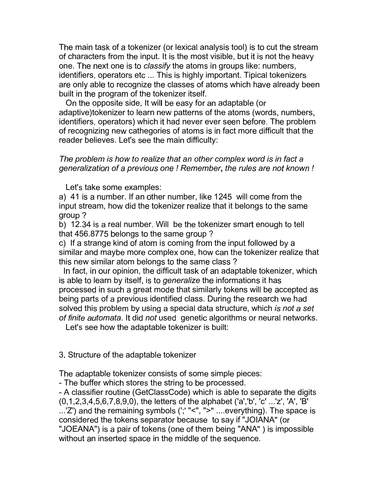The main task of a tokenizer (or lexical analysis tool) is to cut the stream of characters from the input. It is the most visible, but it is not the heavy one. The next one is to *classify* the atoms in groups like: numbers, identifiers, operators etc ... This is highly important. Tipical tokenizers are only able to recognize the classes of atoms which have already been built in the program of the tokenizer itself.

On the opposite side, It will be easy for an adaptable (or adaptive) to kenizer to learn new patterns of the atoms (words, numbers, identifiers, operators) which it had never ever seen before. The problem of recognizing new cathegories of atoms is in fact more difficult that the reader believes. Let's see the main difficulty:

## The problem is how to realize that an other complex word is in fact a generalization of a previous one ! Remember, the rules are not known !

Let's take some examples:

a) 41 is a number. If an other number, like 1245 will come from the input stream, how did the tokenizer realize that it belongs to the same group?

b) 12.34 is a real number. Will be the tokenizer smart enough to tell that 456.8775 belongs to the same group?

c) If a strange kind of atom is coming from the input followed by a similar and maybe more complex one, how can the tokenizer realize that this new similar atom belongs to the same class?

In fact, in our opinion, the difficult task of an adaptable tokenizer, which is able to learn by itself, is to *generalize* the informations it has processed in such a great mode that similarly tokens will be accepted as being parts of a previous identified class. During the research we had solved this problem by using a special data structure, which is not a set of finite automata. It did not used genetic algorithms or neural networks.

Let's see how the adaptable tokenizer is built:

3. Structure of the adaptable tokenizer

The adaptable tokenizer consists of some simple pieces:

- The buffer which stores the string to be processed.

- A classifier routine (GetClassCode) which is able to separate the digits (0,1,2,3,4,5,6,7,8,9,0), the letters of the alphabet ('a','b', 'c' ...'z', 'A', 'B' ...'Z') and the remaining symbols (';' "<", ">" ....everything). The space is considered the tokens separator because to say if "JOIANA" (or "JOEANA") is a pair of tokens (one of them being "ANA") is impossible without an inserted space in the middle of the sequence.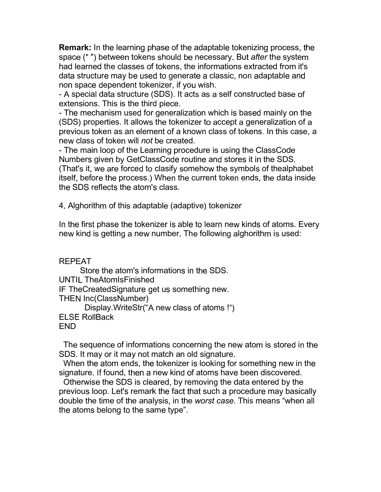Remark: In the learning phase of the adaptable tokenizing process, the space (" ") between tokens should be necessary. But after the system had learned the classes of tokens, the informations extracted from it's data structure may be used to generate a classic, non adaptable and non space dependent tokenizer, if you wish.

- A special data structure (SDS). It acts as a self constructed base of extensions. This is the third piece.

- The mechanism used for generalization which is based mainly on the (SDS) properties. It allows the tokenizer to accept a generalization of a previous token as an element of a known class of tokens. In this case, a new class of token will not be created.

- The main loop of the Learning procedure is using the ClassCode Numbers given by GetClassCode routine and stores it in the SDS. (That's it, we are forced to clasify somehow the symbols of thealphabet) itself, before the process.) When the current token ends, the data inside the SDS reflects the atom's class.

4. Alghorithm of this adaptable (adaptive) tokenizer

In the first phase the tokenizer is able to learn new kinds of atoms. Every new kind is getting a new number. The following alghorithm is used:

**REPEAT** 

Store the atom's informations in the SDS. **UNTIL TheAtomIsFinished** IF TheCreatedSignature get us something new. **THEN Inc(ClassNumber)** Display. Write Str("A new class of atoms!") **ELSE RollBack FND** 

The sequence of informations concerning the new atom is stored in the SDS. It may or it may not match an old signature.

When the atom ends, the tokenizer is looking for something new in the signature. If found, then a new kind of atoms have been discovered.

Otherwise the SDS is cleared, by removing the data entered by the previous loop. Let's remark the fact that such a procedure may basically double the time of the analysis, in the worst case. This means "when all the atoms belong to the same type".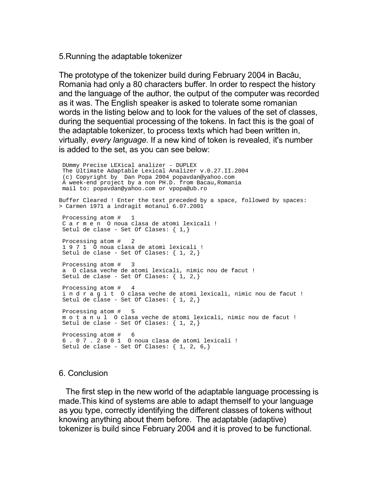5. Running the adaptable tokenizer

The prototype of the tokenizer build during February 2004 in Bacău, Romania had only a 80 characters buffer. In order to respect the history and the language of the author, the output of the computer was recorded as it was. The English speaker is asked to tolerate some romanian words in the listing below and to look for the values of the set of classes, during the sequential processing of the tokens. In fact this is the goal of the adaptable tokenizer, to process texts which had been written in, virtually, every language. If a new kind of token is revealed, it's number is added to the set, as you can see below:

DUmmy Precise LEXical analizer - DUPLEX The Ultimate Adaptable Lexical Analizer v.0.27.II.2004 (c) Copyright by Dan Popa 2004 popavdan@yahoo.com<br>A week-end project by a non PH.D. from Bacau, Romania mail to: popavdan@yahoo.com or vpopa@ub.ro Buffer Cleared ! Enter the text preceded by a space, followed by spaces: > Carmen 1971 a indragit motanul 6.07.2001 Processing atom # C a r m e n 0 noua clasa de atomi lexicali ! Setul de clase - Set Of Clases:  $\{ 1, \}$ Processing atom #  $\overline{2}$ 1 9 7 1 0 noua clasa de atomi lexicali ! Setul de clase - Set Of Clases:  $\{ 1, 2, \}$ Processing atom #  $\overline{\phantom{a}}$ a 0 clasa veche de atomi lexicali, nimic nou de facut ! Setul de clase - Set Of Clases:  $\{ 1, 2, \}$ Processing atom #  $\overline{4}$ i n d r a g i t  $\overline{0}$  clasa veche de atomi lexicali, nimic nou de facut !<br>Setul de clase - Set Of Clases: { 1, 2,} Processing atom # 5 motanul Oclasa veche de atomi lexicali, nimic nou de facut ! Setul de clase - Set Of Clases:  $\{ 1, 2, \}$ Processing atom # - 6 6.07.2001 O noua clasa de atomi lexicali ! Setul de clase - Set Of Clases:  $\{1, 2, 6, \}$ 

## 6 Conclusion

The first step in the new world of the adaptable language processing is made. This kind of systems are able to adapt themself to your language as you type, correctly identifying the different classes of tokens without knowing anything about them before. The adaptable (adaptive) tokenizer is build since February 2004 and it is proved to be functional.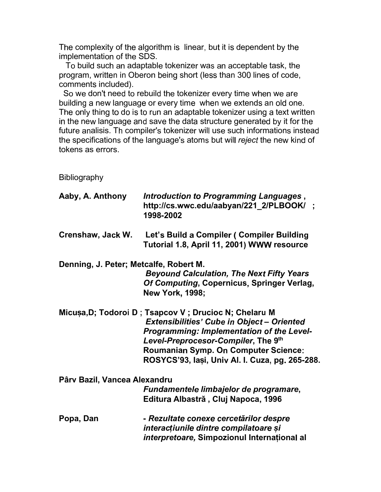The complexity of the algorithm is linear, but it is dependent by the implementation of the SDS.

To build such an adaptable tokenizer was an acceptable task, the program, written in Oberon being short (less than 300 lines of code, comments included).

So we don't need to rebuild the tokenizer every time when we are building a new language or every time when we extends an old one. The only thing to do is to run an adaptable tokenizer using a text written in the new language and save the data structure generated by it for the future analisis. Th compiler's tokenizer will use such informations instead the specifications of the language's atoms but will reject the new kind of tokens as errors.

Bibliography

| Aaby, A. Anthony                       | Introduction to Programming Languages,<br>http://cs.wwc.edu/aabyan/221 2/PLBOOK/;<br>1998-2002                                                                                                |  |
|----------------------------------------|-----------------------------------------------------------------------------------------------------------------------------------------------------------------------------------------------|--|
| Crenshaw, Jack W.                      | Let's Build a Compiler (Compiler Building<br>Tutorial 1.8, April 11, 2001) WWW resource                                                                                                       |  |
| Denning, J. Peter; Metcalfe, Robert M. |                                                                                                                                                                                               |  |
|                                        | <b>Beyound Calculation, The Next Fifty Years</b><br>Of Computing, Copernicus, Springer Verlag,<br><b>New York, 1998;</b>                                                                      |  |
|                                        | Micuṣa,D; Todoroi D; Tsapcov V; Drucioc N; Chelaru M<br>Extensibilities' Cube in Object - Oriented<br><b>Programming: Implementation of the Level-</b><br>Level-Preprocesor-Compiler, The 9th |  |
|                                        | <b>Roumanian Symp. On Computer Science:</b><br>ROSYCS'93, Iași, Univ Al. I. Cuza, pg. 265-288.                                                                                                |  |
| Pârv Bazil, Vancea Alexandru           |                                                                                                                                                                                               |  |
|                                        | Fundamentele limbajelor de programare,<br>Editura Albastră, Cluj Napoca, 1996                                                                                                                 |  |
| Popa, Dan                              | - Rezultate conexe cercetărilor despre<br>interacțiunile dintre compilatoare și<br>interpretoare, Simpozionul Internațional al                                                                |  |